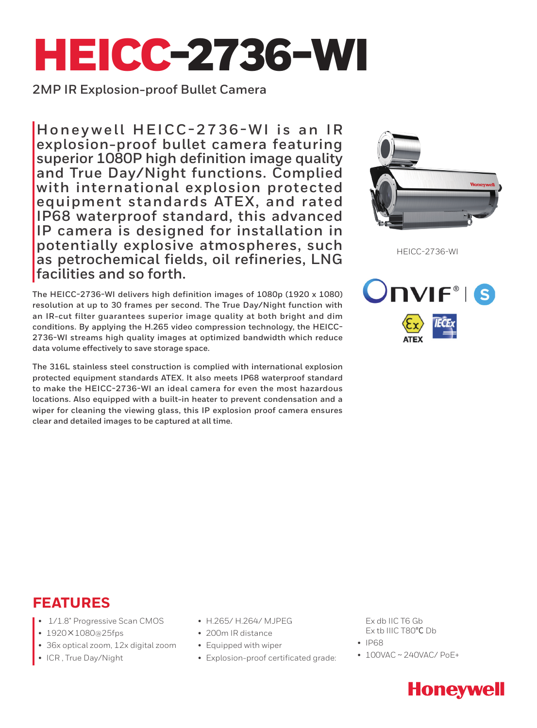# HEICC-2736-WI

**2MP IR Explosion-proof Bullet Camera**

Honeywell HEICC-2736-WI is an IR **explosion-proof bullet camera featuring superior 1080P high definition image quality and True Day/Night functions. Complied with international explosion protected equipment standards ATEX, and rated IP68 waterproof standard, this advanced IP camera is designed for installation in potentially explosive atmospheres, such as petrochemical fields, oil refineries, LNG facilities and so forth.** 

**The HEICC-2736-WI delivers high definition images of 1080p (1920 x 1080) resolution at up to 30 frames per second. The True Day/Night function with an IR-cut filter guarantees superior image quality at both bright and dim conditions. By applying the H.265 video compression technology, the HEICC-2736-WI streams high quality images at optimized bandwidth which reduce data volume effectively to save storage space.**

**The 316L stainless steel construction is complied with international explosion protected equipment standards ATEX. It also meets IP68 waterproof standard to make the HEICC-2736-WI an ideal camera for even the most hazardous locations. Also equipped with a built-in heater to prevent condensation and a wiper for cleaning the viewing glass, this IP explosion proof camera ensures clear and detailed images to be captured at all time.**



HEICC-2736-WI



## **FEATURES**

- $1/1.8$ " Progressive Scan CMOS
- 1920×1080@25fps
- 36x optical zoom, 12x digital zoom
- ICR, True Day/Night
- H.265/ H.264/ MJPEG
- 200m IR distance
- Equipped with wiper
- Explosion-proof certificated grade:

Ex db IIC T6 Gb Ex tb IIIC T80℃ Db

- IP68
	- $\bullet$  100VAC ~ 240VAC/ PoE+

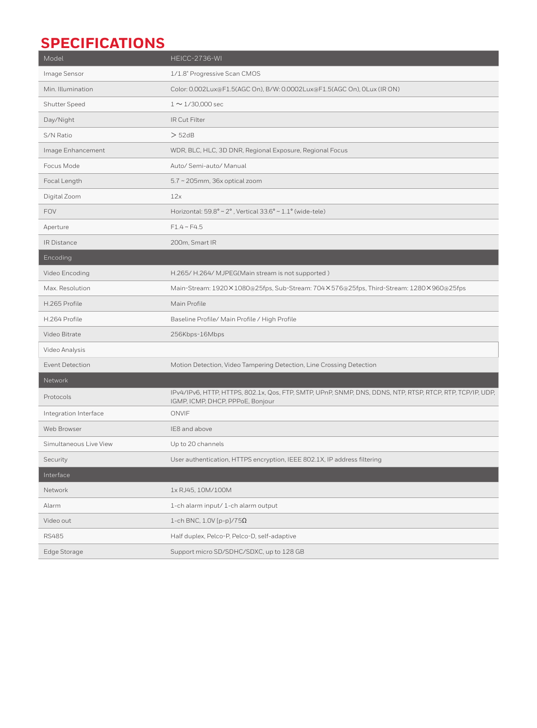## **SPECIFICATIONS**

| Model                  | HEICC-2736-WI                                                                                                                                 |
|------------------------|-----------------------------------------------------------------------------------------------------------------------------------------------|
| Image Sensor           | 1/1.8" Progressive Scan CMOS                                                                                                                  |
| Min. Illumination      | Color: 0.002Lux@F1.5(AGC On), B/W: 0.0002Lux@F1.5(AGC On), 0Lux (IR ON)                                                                       |
| Shutter Speed          | $1 \sim 1/30,000$ sec                                                                                                                         |
| Day/Night              | IR Cut Filter                                                                                                                                 |
| S/N Ratio              | > 52dB                                                                                                                                        |
| Image Enhancement      | WDR, BLC, HLC, 3D DNR, Regional Exposure, Regional Focus                                                                                      |
| Focus Mode             | Auto/ Semi-auto/ Manual                                                                                                                       |
| Focal Length           | 5.7 ~ 205mm, 36x optical zoom                                                                                                                 |
| Digital Zoom           | 12x                                                                                                                                           |
| <b>FOV</b>             | Horizontal: $59.8^\circ \sim 2^\circ$ , Vertical $33.6^\circ \sim 1.1^\circ$ (wide-tele)                                                      |
| Aperture               | $F1.4 \sim F4.5$                                                                                                                              |
| <b>IR Distance</b>     | 200m, Smart IR                                                                                                                                |
| Encoding               |                                                                                                                                               |
| Video Encoding         | H.265/H.264/MJPEG(Main stream is not supported)                                                                                               |
| Max. Resolution        | Main-Stream: 1920×1080@25fps, Sub-Stream: 704×576@25fps, Third-Stream: 1280×960@25fps                                                         |
| H.265 Profile          | Main Profile                                                                                                                                  |
| H.264 Profile          | Baseline Profile/ Main Profile / High Profile                                                                                                 |
| Video Bitrate          | 256Kbps-16Mbps                                                                                                                                |
| Video Analysis         |                                                                                                                                               |
| <b>Event Detection</b> | Motion Detection, Video Tampering Detection, Line Crossing Detection                                                                          |
| Network                |                                                                                                                                               |
| Protocols              | IPv4/IPv6, HTTP, HTTPS, 802.1x, Qos, FTP, SMTP, UPnP, SNMP, DNS, DDNS, NTP, RTSP, RTCP, RTP, TCP/IP, UDP,<br>IGMP, ICMP, DHCP, PPPoE, Bonjour |
| Integration Interface  | ONVIF                                                                                                                                         |
| Web Browser            | IE8 and above                                                                                                                                 |
| Simultaneous Live View | Up to 20 channels                                                                                                                             |
| Security               | User authentication, HTTPS encryption, IEEE 802.1X, IP address filtering                                                                      |
| Interface              |                                                                                                                                               |
| Network                | 1x RJ45, 10M/100M                                                                                                                             |
| Alarm                  | 1-ch alarm input/1-ch alarm output                                                                                                            |
| Video out              | 1-ch BNC, 1.0V [p-p]/75 $\Omega$                                                                                                              |
| <b>RS485</b>           | Half duplex, Pelco-P, Pelco-D, self-adaptive                                                                                                  |
| Edge Storage           | Support micro SD/SDHC/SDXC, up to 128 GB                                                                                                      |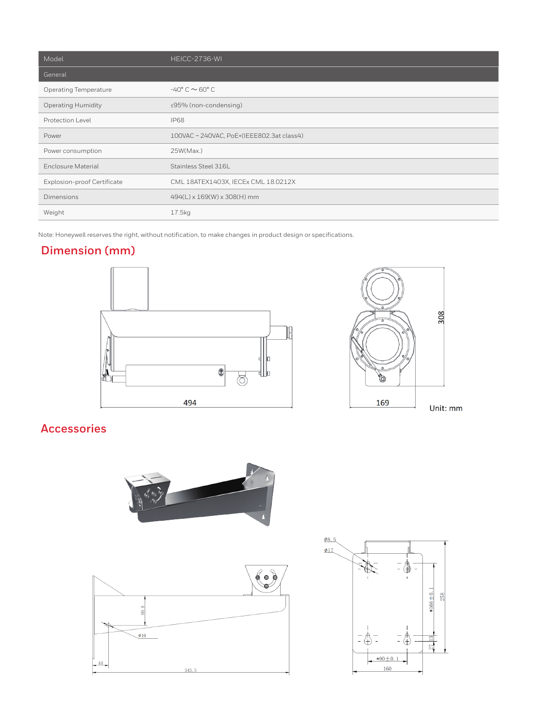| Model                              | HEICC-2736-WI                             |
|------------------------------------|-------------------------------------------|
| General                            |                                           |
| <b>Operating Temperature</b>       | $-40^{\circ}$ C $\sim$ 60 $^{\circ}$ C    |
| <b>Operating Humidity</b>          | ≤95% (non-condensing)                     |
| Protection Level                   | <b>IP68</b>                               |
| Power                              | 100VAC ~ 240VAC, PoE+(IEEE802.3at class4) |
| Power consumption                  | 25W(Max.)                                 |
| Enclosure Material                 | Stainless Steel 316L                      |
| <b>Explosion-proof Certificate</b> | CML 18ATEX1403X, IECEx CML 18.0212X       |
| Dimensions                         | 494(L) x 169(W) x 308(H) mm               |
| Weight                             | 17.5kg                                    |

Note: Honeywell reserves the right, without notification, to make changes in product design or specifications.

#### **Dimension (mm)**





### **Accessories**